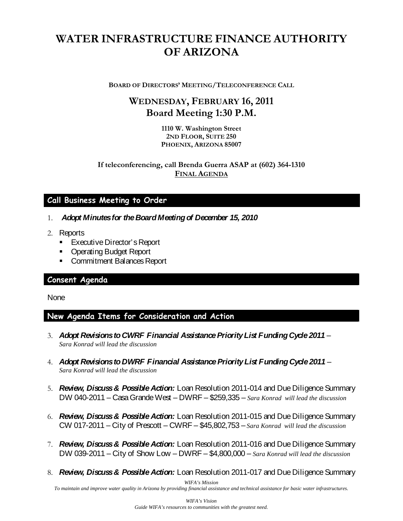# **WATER INFRASTRUCTURE FINANCE AUTHORITY OF ARIZONA**

**BOARD OF DIRECTORS' MEETING/TELECONFERENCE CALL**

# **WEDNESDAY, FEBRUARY 16, 2011 Board Meeting 1:30 P.M.**

**1110 W. Washington Street 2ND FLOOR, SUITE 250 PHOENIX, ARIZONA 85007**

**If teleconferencing, call Brenda Guerra ASAP at (602) 364-1310 FINAL AGENDA**

## **Call Business Meeting to Order**

- 1. *Adopt Minutes for the Board Meeting of December 15, 2010*
- 2. Reports
	- **Executive Director's Report**
	- **Operating Budget Report**
	- **Commitment Balances Report**

#### **Consent Agenda**

**None** 

#### **New Agenda Items for Consideration and Action**

- 3. *Adopt Revisions to CWRF Financial Assistance Priority List Funding Cycle 2011 Sara Konrad will lead the discussion*
- 4. *Adopt Revisions to DWRF Financial Assistance Priority List Funding Cycle 2011 Sara Konrad will lead the discussion*
- 5. *Review, Discuss & Possible Action:* Loan Resolution 2011-014 and Due Diligence Summary DW 040-2011 – Casa Grande West – DWRF – \$259,335 – *Sara Konrad will lead the discussion*
- 6. *Review, Discuss & Possible Action:* Loan Resolution 2011-015 and Due Diligence Summary CW 017-2011 – City of Prescott – CWRF – \$45,802,753 – *Sara Konrad will lead the discussion*
- 7. *Review, Discuss & Possible Action:* Loan Resolution 2011-016 and Due Diligence Summary DW 039-2011 – City of Show Low – DWRF – \$4,800,000 – *Sara Konrad will lead the discussion*
- 8. *Review, Discuss & Possible Action:* Loan Resolution 2011-017 and Due Diligence Summary

*WIFA's Mission*

*To maintain and improve water quality in Arizona by providing financial assistance and technical assistance for basic water infrastructures.*